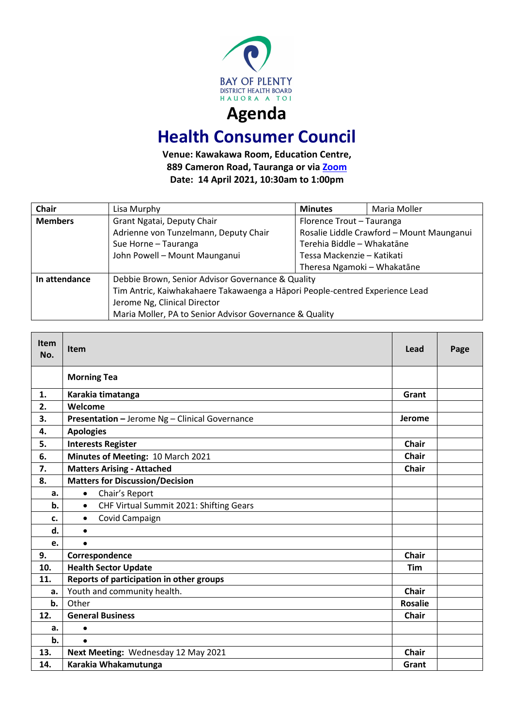

## **Health Consumer Council**

**Venue: Kawakawa Room, Education Centre, 889 Cameron Road, Tauranga or via [Zoom](https://bopdhb.zoom.us/j/84812889571?pwd=V2VYYUo3Z3ZHWk50Sk1NZWxxa0FSZz09) Date: 14 April 2021, 10:30am to 1:00pm**

| <b>Chair</b>   | Lisa Murphy                                                                  | <b>Minutes</b>                            | Maria Moller |  |
|----------------|------------------------------------------------------------------------------|-------------------------------------------|--------------|--|
| <b>Members</b> | Grant Ngatai, Deputy Chair                                                   | Florence Trout - Tauranga                 |              |  |
|                | Adrienne von Tunzelmann, Deputy Chair                                        | Rosalie Liddle Crawford - Mount Maunganui |              |  |
|                | Sue Horne - Tauranga                                                         | Terehia Biddle - Whakatāne                |              |  |
|                | John Powell - Mount Maunganui                                                | Tessa Mackenzie – Katikati                |              |  |
|                |                                                                              | Theresa Ngamoki - Whakatāne               |              |  |
| In attendance  | Debbie Brown, Senior Advisor Governance & Quality                            |                                           |              |  |
|                | Tim Antric, Kaiwhakahaere Takawaenga a Hāpori People-centred Experience Lead |                                           |              |  |
|                | Jerome Ng, Clinical Director                                                 |                                           |              |  |
|                | Maria Moller, PA to Senior Advisor Governance & Quality                      |                                           |              |  |

| <b>Item</b><br>No. | <b>Item</b>                                          | Lead           | Page |
|--------------------|------------------------------------------------------|----------------|------|
|                    | <b>Morning Tea</b>                                   |                |      |
| 1.                 | Karakia timatanga                                    | Grant          |      |
| 2.                 | Welcome                                              |                |      |
| 3.                 | Presentation - Jerome Ng - Clinical Governance       |                |      |
| 4.                 | <b>Apologies</b>                                     |                |      |
| 5.                 | <b>Interests Register</b>                            | <b>Chair</b>   |      |
| 6.                 | Minutes of Meeting: 10 March 2021                    | <b>Chair</b>   |      |
| 7.                 | <b>Matters Arising - Attached</b>                    | <b>Chair</b>   |      |
| 8.                 | <b>Matters for Discussion/Decision</b>               |                |      |
| a.                 | Chair's Report<br>$\bullet$                          |                |      |
| b.                 | CHF Virtual Summit 2021: Shifting Gears<br>$\bullet$ |                |      |
| c.                 | Covid Campaign<br>$\bullet$                          |                |      |
| d.                 | $\bullet$                                            |                |      |
| e.                 | $\bullet$                                            |                |      |
| 9.                 | Correspondence                                       | <b>Chair</b>   |      |
| 10.                | <b>Health Sector Update</b>                          | Tim            |      |
| 11.                | Reports of participation in other groups             |                |      |
| a.                 | Youth and community health.                          | <b>Chair</b>   |      |
| $b$ .              | Other                                                | <b>Rosalie</b> |      |
| 12.                | <b>General Business</b>                              | <b>Chair</b>   |      |
| a.                 | $\bullet$                                            |                |      |
| b.                 | $\bullet$                                            |                |      |
| 13.                | Next Meeting: Wednesday 12 May 2021                  | <b>Chair</b>   |      |
| 14.                | Karakia Whakamutunga                                 |                |      |